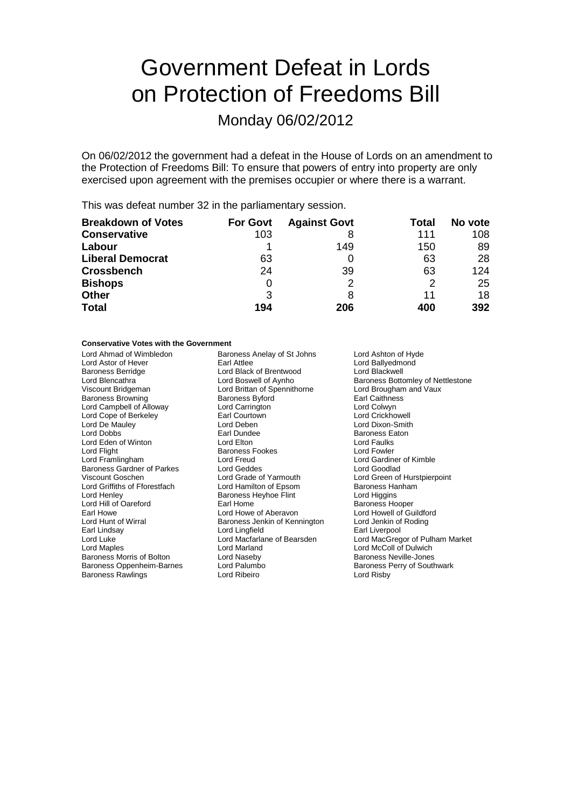# Government Defeat in Lords on Protection of Freedoms Bill

Monday 06/02/2012

On 06/02/2012 the government had a defeat in the House of Lords on an amendment to the Protection of Freedoms Bill: To ensure that powers of entry into property are only exercised upon agreement with the premises occupier or where there is a warrant.

This was defeat number 32 in the parliamentary session.

| <b>Breakdown of Votes</b> | <b>For Govt</b> | <b>Against Govt</b> | Total | No vote |
|---------------------------|-----------------|---------------------|-------|---------|
| <b>Conservative</b>       | 103             |                     | 111   | 108     |
| Labour                    |                 | 149                 | 150   | 89      |
| <b>Liberal Democrat</b>   | 63              |                     | 63    | 28      |
| <b>Crossbench</b>         | 24              | 39                  | 63    | 124     |
| <b>Bishops</b>            | O               | 2                   | 2     | 25      |
| <b>Other</b>              | 3               |                     | 11    | 18      |
| <b>Total</b>              | 194             | 206                 | 400   | 392     |

### **Conservative Votes with the Government**

| Lord Ahmad of Wimbledon           | Baroness Anelay of St Johns   | Lord Ashton of Hyde               |
|-----------------------------------|-------------------------------|-----------------------------------|
| Lord Astor of Hever               | Earl Attlee                   | Lord Ballyedmond                  |
| <b>Baroness Berridge</b>          | Lord Black of Brentwood       | Lord Blackwell                    |
| Lord Blencathra                   | Lord Boswell of Aynho         | Baroness Bottomley of Nettlestone |
| Viscount Bridgeman                | Lord Brittan of Spennithorne  | Lord Brougham and Vaux            |
| <b>Baroness Browning</b>          | <b>Baroness Byford</b>        | Earl Caithness                    |
| Lord Campbell of Alloway          | Lord Carrington               | Lord Colwyn                       |
| Lord Cope of Berkeley             | Earl Courtown                 | Lord Crickhowell                  |
| Lord De Mauley                    | Lord Deben                    | Lord Dixon-Smith                  |
| Lord Dobbs                        | Earl Dundee                   | <b>Baroness Eaton</b>             |
| Lord Eden of Winton               | Lord Elton                    | Lord Faulks                       |
| Lord Flight                       | <b>Baroness Fookes</b>        | Lord Fowler                       |
| Lord Framlingham                  | Lord Freud                    | Lord Gardiner of Kimble           |
| <b>Baroness Gardner of Parkes</b> | Lord Geddes                   | Lord Goodlad                      |
| Viscount Goschen                  | Lord Grade of Yarmouth        | Lord Green of Hurstpierpoint      |
| Lord Griffiths of Fforestfach     | Lord Hamilton of Epsom        | Baroness Hanham                   |
| Lord Henley                       | Baroness Heyhoe Flint         | Lord Higgins                      |
| Lord Hill of Oareford             | Earl Home                     | Baroness Hooper                   |
| Earl Howe                         | Lord Howe of Aberavon         | Lord Howell of Guildford          |
| Lord Hunt of Wirral               | Baroness Jenkin of Kennington | Lord Jenkin of Roding             |
| Earl Lindsay                      | Lord Lingfield                | Earl Liverpool                    |
| Lord Luke                         | Lord Macfarlane of Bearsden   | Lord MacGregor of Pulham Market   |
| Lord Maples                       | Lord Marland                  | Lord McColl of Dulwich            |
| Baroness Morris of Bolton         | Lord Naseby                   | <b>Baroness Neville-Jones</b>     |
| Baroness Oppenheim-Barnes         | Lord Palumbo                  | Baroness Perry of Southwark       |
| <b>Baroness Rawlings</b>          | Lord Ribeiro                  | Lord Risby                        |
|                                   |                               |                                   |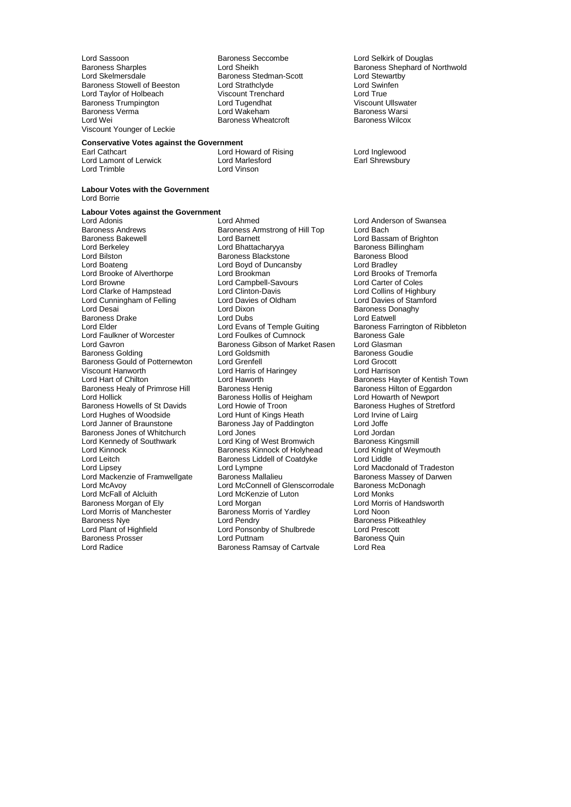Lord Sassoon **Baroness Seccombe** Lord Selkirk of Douglas<br>
Baroness Sharples **Baroness Sharples**<br>
Lord Sheikh **Baroness Shaphard of I** Baroness Stowell of Beeston Lord Strathclyde Lord Strathclub Lord Taylor Cord Swin<br>Lord Taylor of Holbeach Viscount Trenchard Lord True Lord Taylor of Holbeach Viscount Trenchard Lord True Baroness Trumpington Lord Tugendhat Lord Tugendhat Charoness Verma<br>
Baroness Verma<br>
Lord Wakeham Baroness Verma Lord Wakeham Baroness Warsi Viscount Younger of Leckie

Lord Trimble

Baroness Stedman-Scott Lord Stewart<br>
Lord Strathclyde Lord Swinfen Baroness Wheatcroft

## **Conservative Votes against the Government**

Earl Cathcart Lord Howard of Rising Lord Inglewood Lord Lamont of Lerwick<br>
Lord Trimble<br>
Lord Vinson

### **Labour Votes with the Government** Lord Borrie

### **Labour Votes against the Government**

Baroness Andrews **Baroness Armstrong of Hill Top**<br>Baroness Bakewell **Baroness** Lord Barnett Lord Cunningham of Felling Lord Davie<br>
Lord Desai **Lord Dixon** Baroness Drake **Lord Dubs**<br>
Lord Elder<br>
Lord Elder **Lord Evans of Temple Guiting** Viscount Hanworth **Lord Harris of Haringey**<br>
Lord Harrison Lord Haworth Lord Leitch Baroness Liddell of Coatdyke<br>
Lord Lipsey Lord Lympne Lord Morris of Manchester Baroness Morris of Yardley<br>Baroness Nve Baroness Noon

Lord Adonis **Lord Ahmed** Lord Ahmed Lord Anderson of Swansea<br>
Baroness Andrews **Baroness Armstrong of Hill Top** Lord Bach Baroness Bakewell **Example 2 Lord Barnett** Lord Baroness Bakewell Lord Baroness Billingham<br>
Lord Baroness Billingham<br>
Lord Baroness Billingham Lord Berkeley **Communist Communist Lord Bhattacharyya** Baroness Billingham<br>
Lord Bilston **Baroness Blackstone** Baroness Blackstone Baroness Blood Lord Bilston **Baroness Blackstone Baroness Blood Baroness Blood Baroness Blood Baroness Blood Baroness Blood Baroness Blood Bradley<br>
Lord Boyd of Duncansby Lord Bradley** Lord Boyd of Duncansby **Lord Bradley**<br>
Lord Brookman **Lord Brooks** of Tremorfa Lord Brooke of Alverthorpe Lord Brookman Lord Brooks of Trem<br>
Lord Browne Lord Campbell-Savours Lord Carter of Coles Lord Campbell-Savours<br>
Lord Clinton-Davis Lord Collins of Highbury<br>
Lord Collins of Highbury Lord Clarke of Hampstead Lord Clinton-Davis Lord Collins of Highbury<br>
Lord Cunningham of Felling Lord Davies of Oldham Lord Davies of Stamford Lord Dixon **Baroness Donaghy**<br>
Lord Dubs<br>
Lord Eatwell Lord Evans of Temple Guiting Baroness Farrington of Ribbleton<br>
Lord Foulkes of Cumnock Baroness Gale Lord Faulkner of Worcester **Lord Foulkes of Cumnock** Baroness Gale<br>
Lord Gavron **Caroness Gibson of Market Rasen** Lord Glasman Lord Gavron **Baroness Gibson of Market Rasen**<br>
Baroness Golding **Baroness** Lord Goldsmith **Lord Goldsmith Baroness Goudie<br>
Lord Grenfell Cord Grocott** Baroness Gould of Potternewton Lord Grenfell Lord Grocott Lord Haworth **Chilton Lord Hart of Chilton Lord Haworth Chilton Chilton Lord Hayter of Kentish Town**<br>Baroness Henig **Baroness Hilton of Eggardon** Baroness Healy of Primrose Hill Baroness Henig Baroness Healy of Primrose Hilton Baroness Hollis of Heigham Baroness Hollis of Heigham Lord Howarth of Newport Exaroness Hollis of Heigham Lord Howarth of Newport<br>
Lord Howie of Troon Baroness Hughes of Stretford Baroness Howells of St Davids Lord Howie of Troon Troon Baroness Hughes of Unit Stretter Cord Howie of Lairg<br>Lord Hughes of Woodside Lord Hunt of Kings Heath Lord Irvine of Lairg Lord Hughes of Woodside Lord Hunt of Kings Heath Lord Irvine<br>
Lord Janner of Braunstone Baroness Jay of Paddington Lord Joffe Baroness Jay of Paddington Lord Joffe<br>
Lord Jones Lord Jordan Baroness Jones of Whitchurch Lord Jones<br>
Lord Kennedy of Southwark Lord King of West Bromwich Baroness Kingsmill Lord Kennedy of Southwark Lord King of West Bromwich Baroness Kingsmill<br>Lord Kinnock Baroness Kinnock of Holyhead Lord Knight of Weymouth Lord Kinnock **Baroness Kinnock of Holyhead** Lord Knight Cord Knight Cord Knight Cord Cord Cord Liddle Cord Liddle Lord Lympne<br>
Baroness Mallalieu<br>
Baroness Massey of Darwen Lord Mackenzie of Framwellgate Baroness Mallalieu Baroness Massey of Lord McConnell of Glenscorrodale Baroness McDonagh Lord McConnell of Glenscorrodale Lord McFall of Alcluith Lord McKenzie of Luton<br>
Baroness Morgan of Ely Lord Morgan Lord Morgan Lord Morris Baroness Morgan of Ely **Lord Morgan** Lord Morgan Cord Morris of Handsworth<br>
Lord Morris of Manchester **Baroness Morris of Yardlev** Lord Noon Baroness Nye Lord Pendry Lord Pendry Baroness Pitkeathley<br>Lord Pendry Baroness Pitkeathley<br>Lord Plant of Highfield Lord Ponsonby of Shulbrede Lord Prescott Lord Ponsonby of Shulbrede Lord Prescott<br>
Lord Puttnam Baroness Quin Baroness Prosser **Exercise Exercise Control** Lord Puttnam **Baroness Ramsav of Cartvale** Baroness<br>
Lord Radice **Contract Control Contract Contract Contract Contract Contract Contract Contract Contract Contract Contract Cont** Baroness Ramsay of Cartvale

Baroness Sharples Lord Sheikh Baroness Shephard of Northwold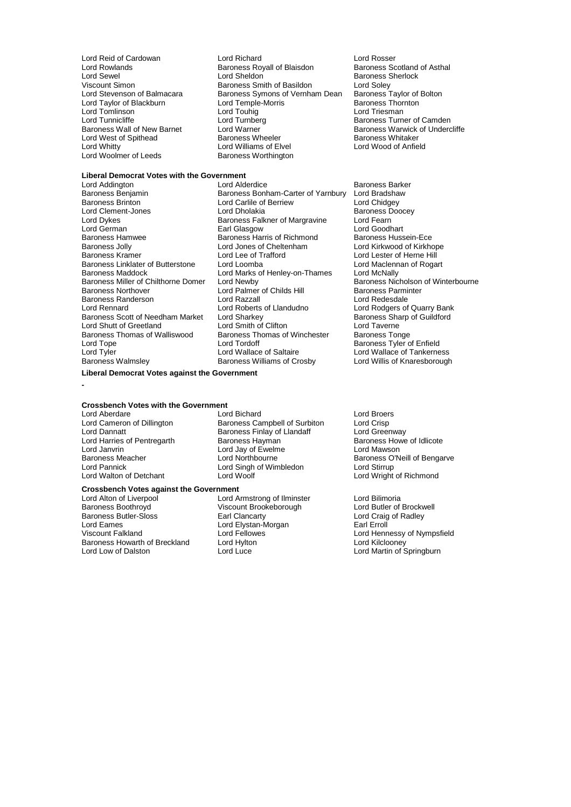Lord Rowlands **Baroness Royall of Blaisdon**<br>
Lord Sewel **Baroness Royall of Asthal** Lord Tomlinson Lord Touhig<br>
Lord Tunnicliffe Lord Turnberg Lord Woolmer of Leeds

Lord Reid of Cardowan **Lord Richard** Lord Richard Lord Rosser<br>
Lord Rowlands **Lord Rosser Cardow** Baroness Royall of Blaisdon **Baroness Scotland of Asthal** Lord Sewel **Lord Sheldon** Lord Sheldon **Baroness Sherlock**<br>
Viscount Simon **Baroness Smith of Basildon** Lord Soley Viscount Simon common baroness Smith of Basildon Cord Soley<br>
Lord Stevenson of Balmacara Baroness Symons of Vernham Dean Baroness Taylor of Bolton Baroness Symons of Vernham Dean Baroness Taylor of Lord Temple-Morris **Baroness Taylor of** Lord Taylor of Blackburn Lord Temple-Morris **Baroness Thornton Corporation**<br>Cord Tomlinson Lord Touhig Lord Touhig Lord Tunnicliffe Lord Turnberg Communicative Camden<br>
Baroness Wall of New Barnet Lord Warner Communicative Communicative Statement Communicative of Underc Lord Warner The Raroness Warwick of Undercliffe<br>Baroness Wheeler Baroness Whitaker Lord West of Spithead **Baroness Wheeler** Baroness Whitaker<br>
Lord Whitty **Baroness Whitaker** Lord Williams of Elvel **Baroness Whitaker** Lord Williams of Elvel<br>Baroness Worthington

## **Liberal Democrat Votes with the Government**

Lord Dykes Baroness Falkner of Margravine Lord Fearn Baroness Jolly **Lord Jones of Cheltenham**<br> **Baroness Kramer Lord Lee of Trafford** Baroness Maddock Lord Marks of Henley-on-Thames<br>Baroness Miller of Chilthorne Domer Lord Newby **Baroness Randerson Lord Razzall<br>
Lord Rennard Lord Roberts of Llandudno** Baroness Thomas of Walliswood Baroness Thomas of Winchester<br> **Baroness Thomas of Walliswood** Baroness Thomas of Winchester Lord Tyler Lord Wallace of Saltaire Lord Wallace of Tankerness<br>
Baroness Walmsley Baroness Williams of Crosby Lord Willis of Knaresborough

Lord Addington Lord Alderdice Cord Adder Baroness Barker<br>Baroness Benjamin Baroness Bonham-Carter of Yarnbury Lord Bradshaw Baroness Benjamin **Baroness Bonham-Carter of Yarnbury** Lord Bradsha<br>Baroness Brinton **Baroness Bonham-Cartile of Berriew** Lord Chidgey Lord Carlile of Berriew **Lord Chidgey**<br>
Lord Dholakia **Baroness** Doocey Lord Clement-Jones<br>
Lord Clement-Jones 
Lord Dykes
Baroness Falkner of Margravine
Lord Dykes

Lord Accord Pearn
Baroness Falkner of Margravine
Lord Fearn
Lord Clement-Jones Lord German **Earl Glasgow** Earl Glasgow **Lord Goodhart** Lord Goodhart<br>
Baroness Hamwee **Baroness Harris of Richmond** Baroness Hussein-Ece Baroness Hamwee **Baroness Harris of Richmond** Baroness Hussein-Ece<br>Baroness Jolly **Baroness Hussein-Ece** Lord Cheltenham Lord Kirkwood of Kirkhope Lord Lee of Trafford<br>
Lord Loomba<br>
Lord Maclennan of Rogart Baroness Linklater of Butterstone Lord Loomba Lord Dure Roar and Maclenn<br>Baroness Maddock Lord Marks of Henley-on-Thames Lord McNally Baroness Miller of Chilthorne Domer Lord Newby **Baroness Nicholson of Winterbourne**<br>Baroness Northover **Lord Palmer of Childs Hill** Baroness Parminter Lord Palmer of Childs Hill Baroness Parminter Childs Hill Baroness Parminter<br>
Lord Razzall Baroness Parminter Lord Redesdale Lord Roberts of Llandudno<br>
Lord Sharkey<br>
Baroness Sharp of Guildford Baroness Scott of Needham Market Lord Sharkey and Baroness Sharp Baroness Sharp of Guilding Lord Sharp Cord Sharp Cord Sharp Cord Sharp Cord Sharp Cord Sharp Cord Sharp Cord Sharp Cord Sharp Cord Sharp Cord Sharp Cord Shar Lord Shutt of Greetland **Lord Smith of Clifton** Lord Taverne Lord Taverne Lord Taverne Lord Taverne Lord Taverne<br>Baroness Thomas of Walliswood Baroness Thomas of Winchester Baroness Tonge Lord Tope Lord Tordoff Baroness Tyler of Enfield Baroness Williams of Crosby

### **Liberal Democrat Votes against the Government**

**-**

## **Crossbench Votes with the Government**

Lord Aberdare Lord Bichard Lord Bichard Lord Broers<br>
Lord Cameron of Dillington Baroness Campbell of Surbiton Lord Crisp Lord Janvrin **Lord Jay of Ewelmen**<br>Baroness Meacher **Lord Northbourne** Lord Pannick<br>
Lord Walton of Detchant<br>
Lord Woolf<br>
Lord Woolf

## **Crossbench Votes against the Government**

Lord Alton of Liverpool **Lord Armstrong of Ilminster** Lord Bilimoria<br>
Baroness Boothroyd **Corpool Corpool** Viscount Brookeborough Lord Butler of Brockwell Baroness Boothroyd **Viscount Brookeborough** Lord Butler of Brockwell Baroness Butler-Sloss **Canadian Clarity** Earl Clancarty **Canadian Lord Craig of Radley** Baroness Butler-Sloss **Earl Clancarty Executive Contains Earl Clancarty Lord Craig of Radley** Lord Eames Lord Elystan-Morgan Earl Erroll Viscount Falkland Lord Fellowes Lord Fellowes<br>
Lord Hennessy of Nympsfield<br>
Baroness Howarth of Breckland Lord Hylton Lord Kilclooney Lord Kilclooney Baroness Howarth of Breckland Lord Hylto<br>
Lord Low of Dalston Lord Luce

Lord Cameron of Dillington **Baroness Campbell of Surbiton** Lord Crisp<br>
Lord Dannatt **Baroness Finlay of Llandaff** Lord Greenway Baroness Finlay of Llandaff **Lord Greenway**<br>
Baroness Hayman **Baroness Howe of Idlicote** Lord Harries of Pentregarth **Baroness Hayman** Baroness Howe of Pentregarth Baroness Howe of Identity Cord Jay of Ewelme Baroness Meacher **Lord Northbourne** Baroness O'Neill of Bengarve<br>
Lord Pannick **District Connect Connect Connect Connect Connect Connect Connect Connect Connect Connect Connect Connect Connect Connect Connect Connect Conne** 

Lord Wright of Richmond

Lord Martin of Springburn